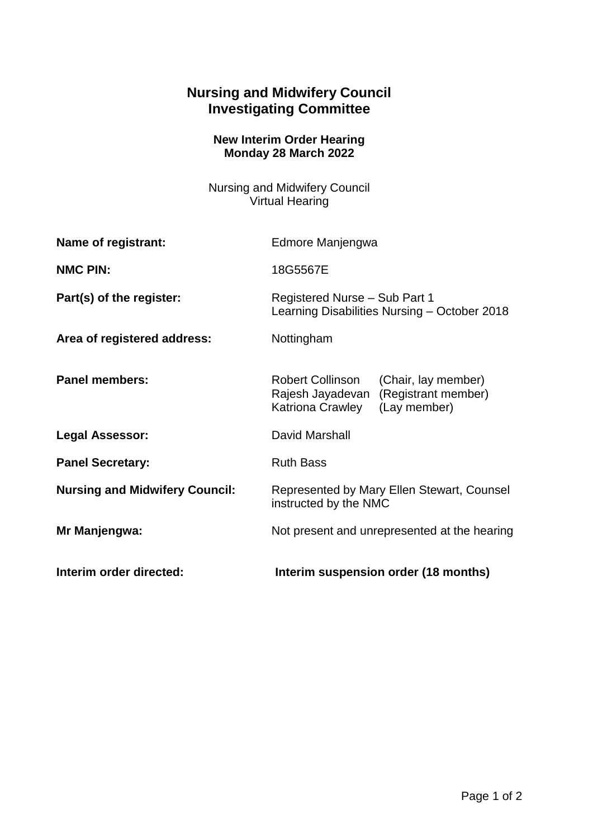## **Nursing and Midwifery Council Investigating Committee**

## **New Interim Order Hearing Monday 28 March 2022**

Nursing and Midwifery Council Virtual Hearing

| Name of registrant:                   | Edmore Manjengwa                                                                                                       |
|---------------------------------------|------------------------------------------------------------------------------------------------------------------------|
| <b>NMC PIN:</b>                       | 18G5567E                                                                                                               |
| Part(s) of the register:              | Registered Nurse - Sub Part 1<br>Learning Disabilities Nursing - October 2018                                          |
| Area of registered address:           | Nottingham                                                                                                             |
| <b>Panel members:</b>                 | Robert Collinson<br>(Chair, lay member)<br>(Registrant member)<br>Rajesh Jayadevan<br>(Lay member)<br>Katriona Crawley |
| <b>Legal Assessor:</b>                | David Marshall                                                                                                         |
| <b>Panel Secretary:</b>               | <b>Ruth Bass</b>                                                                                                       |
| <b>Nursing and Midwifery Council:</b> | Represented by Mary Ellen Stewart, Counsel<br>instructed by the NMC                                                    |
| Mr Manjengwa:                         | Not present and unrepresented at the hearing                                                                           |
| Interim order directed:               | Interim suspension order (18 months)                                                                                   |